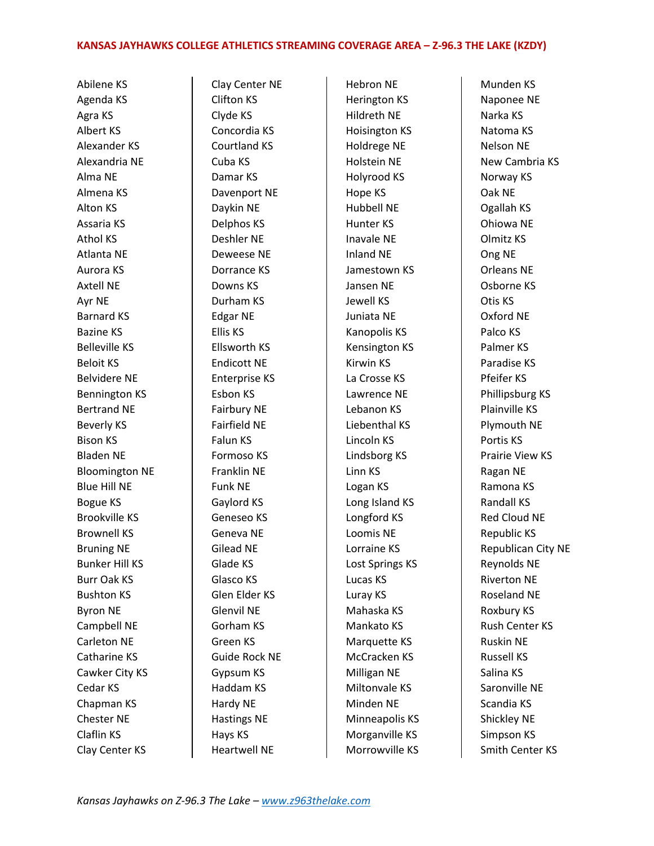## **KANSAS JAYHAWKS COLLEGE ATHLETICS STREAMING COVERAGE AREA – Z-96.3 THE LAKE (KZDY)**

Abilene KS Agenda KS Agra KS Albert KS Alexander KS Alexandria NE Alma NE Almena KS Alton KS Assaria KS Athol KS Atlanta NE Aurora KS Axtell NE Ayr NE Barnard KS Bazine KS Belleville KS Beloit KS Belvidere NE Bennington KS Bertrand NE Beverly KS Bison KS Bladen NE Bloomington NE Blue Hill NE Bogue KS Brookville KS Brownell KS Bruning NE Bunker Hill KS Burr Oak KS Bushton KS Byron NE Campbell NE Carleton NE Catharine KS Cawker City KS Cedar KS Chapman KS Chester NE Claflin KS Clay Center KS

Clay Center NE Clifton KS Clyde KS Concordia KS Courtland KS Cuba KS Damar KS Davenport NE Daykin NE Delphos KS Deshler NE Deweese NE Dorrance KS Downs KS Durham KS Edgar NE Ellis KS Ellsworth KS Endicott NE Enterprise KS Esbon KS Fairbury NE Fairfield NE Falun KS Formoso KS Franklin NE Funk NE Gaylord KS Geneseo KS Geneva NE Gilead NE Glade KS Glasco KS Glen Elder KS Glenvil NE Gorham KS Green KS Guide Rock NE Gypsum KS Haddam KS Hardy NE Hastings NE Hays KS Heartwell NE

Hebron NE Herington KS Hildreth NE Hoisington KS Holdrege NE Holstein NE Holyrood KS Hope KS Hubbell NE Hunter KS Inavale NE Inland NE Jamestown KS Jansen NE Jewell KS Juniata NE Kanopolis KS Kensington KS Kirwin KS La Crosse KS Lawrence NE Lebanon KS Liebenthal KS Lincoln KS Lindsborg KS Linn KS Logan KS Long Island KS Longford KS Loomis NE Lorraine KS Lost Springs KS Lucas KS Luray KS Mahaska KS Mankato KS Marquette KS McCracken KS Milligan NE Miltonvale KS Minden NE Minneapolis KS Morganville KS Morrowville KS

Munden KS Naponee NE Narka KS Natoma KS Nelson NE New Cambria KS Norway KS Oak NE Ogallah KS Ohiowa NE Olmitz KS Ong NE Orleans NE Osborne KS Otis KS Oxford NE Palco KS Palmer KS Paradise KS Pfeifer KS Phillipsburg KS Plainville KS Plymouth NE Portis KS Prairie View KS Ragan NE Ramona KS Randall KS Red Cloud NE Republic KS Republican City NE Reynolds NE Riverton NE Roseland NE Roxbury KS Rush Center KS Ruskin NE Russell KS Salina KS Saronville NE Scandia KS Shickley NE Simpson KS Smith Center KS